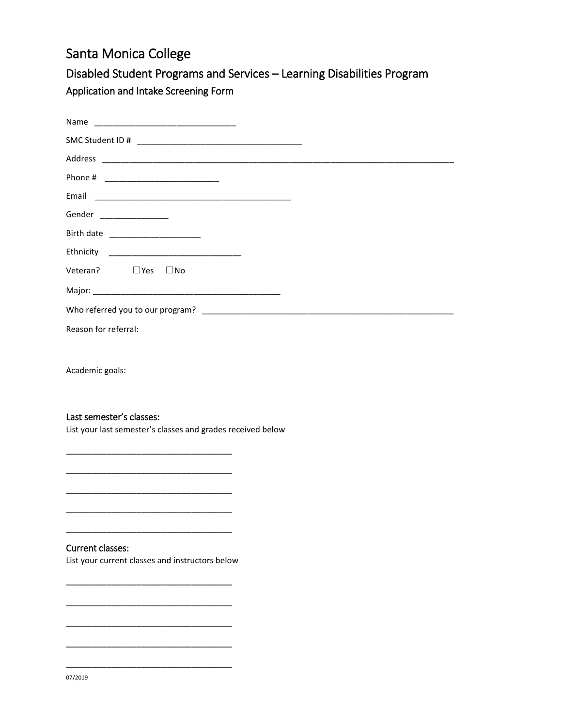# Santa Monica College

## Disabled Student Programs and Services – Learning Disabilities Program Application and Intake Screening Form

| Gender ________________         |  |
|---------------------------------|--|
| Birth date ____________________ |  |
|                                 |  |
| Veteran? $\Box$ Yes $\Box$ No   |  |
|                                 |  |
|                                 |  |
| Reason for referral:            |  |

Academic goals:

#### Last semester's classes:

List your last semester's classes and grades received below

### Current classes:

List your current classes and instructors below

\_\_\_\_\_\_\_\_\_\_\_\_\_\_\_\_\_\_\_\_\_\_\_\_\_\_\_\_\_\_\_\_\_

\_\_\_\_\_\_\_\_\_\_\_\_\_\_\_\_\_\_\_\_\_\_\_\_\_\_\_\_\_\_\_\_\_

\_\_\_\_\_\_\_\_\_\_\_\_\_\_\_\_\_\_\_\_\_\_\_\_\_\_\_\_\_\_\_\_\_

\_\_\_\_\_\_\_\_\_\_\_\_\_\_\_\_\_\_\_\_\_\_\_\_\_\_\_\_\_\_\_\_\_

\_\_\_\_\_\_\_\_\_\_\_\_\_\_\_\_\_\_\_\_\_\_\_\_\_\_\_\_\_\_\_\_\_

\_\_\_\_\_\_\_\_\_\_\_\_\_\_\_\_\_\_\_\_\_\_\_\_\_\_\_\_\_\_\_\_\_

\_\_\_\_\_\_\_\_\_\_\_\_\_\_\_\_\_\_\_\_\_\_\_\_\_\_\_\_\_\_\_\_\_

\_\_\_\_\_\_\_\_\_\_\_\_\_\_\_\_\_\_\_\_\_\_\_\_\_\_\_\_\_\_\_\_\_

\_\_\_\_\_\_\_\_\_\_\_\_\_\_\_\_\_\_\_\_\_\_\_\_\_\_\_\_\_\_\_\_\_

\_\_\_\_\_\_\_\_\_\_\_\_\_\_\_\_\_\_\_\_\_\_\_\_\_\_\_\_\_\_\_\_\_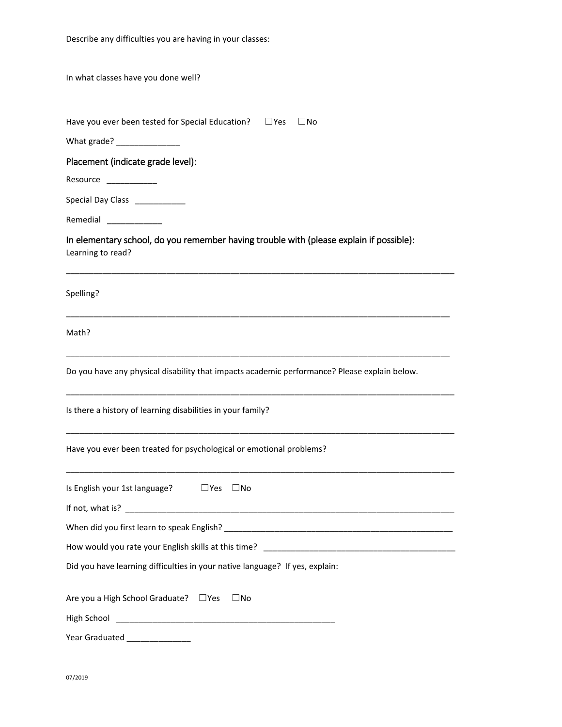In what classes have you done well?

| Have you ever been tested for Special Education? | $\Box$ Yes | $\square$ No |
|--------------------------------------------------|------------|--------------|
|--------------------------------------------------|------------|--------------|

What grade? \_\_\_\_\_\_\_\_\_\_\_\_\_\_

Placement (indicate grade level):

Resource \_\_\_\_\_\_\_\_\_\_\_\_

Special Day Class \_\_\_\_\_\_\_\_\_\_\_

Remedial \_\_\_\_\_\_\_\_\_\_\_\_\_\_

## In elementary school, do you remember having trouble with (please explain if possible): Learning to read?

\_\_\_\_\_\_\_\_\_\_\_\_\_\_\_\_\_\_\_\_\_\_\_\_\_\_\_\_\_\_\_\_\_\_\_\_\_\_\_\_\_\_\_\_\_\_\_\_\_\_\_\_\_\_\_\_\_\_\_\_\_\_\_\_\_\_\_\_\_\_\_\_\_\_\_\_\_\_\_\_\_\_\_\_\_

\_\_\_\_\_\_\_\_\_\_\_\_\_\_\_\_\_\_\_\_\_\_\_\_\_\_\_\_\_\_\_\_\_\_\_\_\_\_\_\_\_\_\_\_\_\_\_\_\_\_\_\_\_\_\_\_\_\_\_\_\_\_\_\_\_\_\_\_\_\_\_\_\_\_\_\_\_\_\_\_\_\_\_\_

\_\_\_\_\_\_\_\_\_\_\_\_\_\_\_\_\_\_\_\_\_\_\_\_\_\_\_\_\_\_\_\_\_\_\_\_\_\_\_\_\_\_\_\_\_\_\_\_\_\_\_\_\_\_\_\_\_\_\_\_\_\_\_\_\_\_\_\_\_\_\_\_\_\_\_\_\_\_\_\_\_\_\_\_

\_\_\_\_\_\_\_\_\_\_\_\_\_\_\_\_\_\_\_\_\_\_\_\_\_\_\_\_\_\_\_\_\_\_\_\_\_\_\_\_\_\_\_\_\_\_\_\_\_\_\_\_\_\_\_\_\_\_\_\_\_\_\_\_\_\_\_\_\_\_\_\_\_\_\_\_\_\_\_\_\_\_\_\_\_

\_\_\_\_\_\_\_\_\_\_\_\_\_\_\_\_\_\_\_\_\_\_\_\_\_\_\_\_\_\_\_\_\_\_\_\_\_\_\_\_\_\_\_\_\_\_\_\_\_\_\_\_\_\_\_\_\_\_\_\_\_\_\_\_\_\_\_\_\_\_\_\_\_\_\_\_\_\_\_\_\_\_\_\_\_

\_\_\_\_\_\_\_\_\_\_\_\_\_\_\_\_\_\_\_\_\_\_\_\_\_\_\_\_\_\_\_\_\_\_\_\_\_\_\_\_\_\_\_\_\_\_\_\_\_\_\_\_\_\_\_\_\_\_\_\_\_\_\_\_\_\_\_\_\_\_\_\_\_\_\_\_\_\_\_\_\_\_\_\_\_

Spelling?

Math?

Do you have any physical disability that impacts academic performance? Please explain below.

Is there a history of learning disabilities in your family?

Have you ever been treated for psychological or emotional problems?

| Is English your 1st language? $\Box$ Yes $\Box$ No                                |
|-----------------------------------------------------------------------------------|
|                                                                                   |
|                                                                                   |
| How would you rate your English skills at this time? ____________________________ |
| Did you have learning difficulties in your native language? If yes, explain:      |
| Are you a High School Graduate? □ Yes □ No                                        |
|                                                                                   |
| Year Graduated _______________                                                    |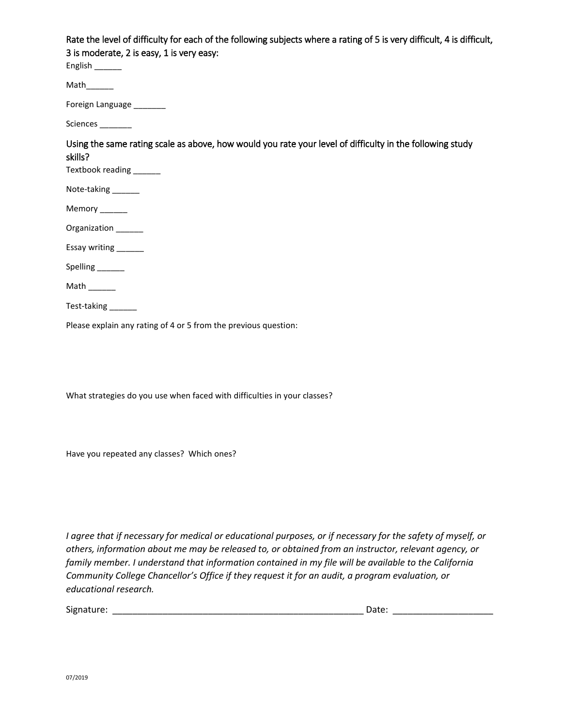Rate the level of difficulty for each of the following subjects where a rating of 5 is very difficult, 4 is difficult, 3 is moderate, 2 is easy, 1 is very easy:

English \_\_\_\_\_\_

 $Math$ 

Foreign Language \_\_\_\_\_\_\_\_

Sciences \_\_\_\_\_\_\_

Using the same rating scale as above, how would you rate your level of difficulty in the following study skills?

Textbook reading \_\_\_\_\_\_\_

Note-taking \_\_\_\_\_\_

Memory \_\_\_\_\_\_

Organization \_\_\_\_\_\_

Essay writing \_\_\_\_\_\_

Spelling \_\_\_\_\_\_\_

Math  $\_\_\_\_\_\_\_\_\_\$ 

Test-taking \_\_\_\_\_\_\_

Please explain any rating of 4 or 5 from the previous question:

What strategies do you use when faced with difficulties in your classes?

Have you repeated any classes? Which ones?

*I agree that if necessary for medical or educational purposes, or if necessary for the safety of myself, or others, information about me may be released to, or obtained from an instructor, relevant agency, or family member. I understand that information contained in my file will be available to the California Community College Chancellor's Office if they request it for an audit, a program evaluation, or educational research.*

| Signature: | Jate: |  |
|------------|-------|--|
|            |       |  |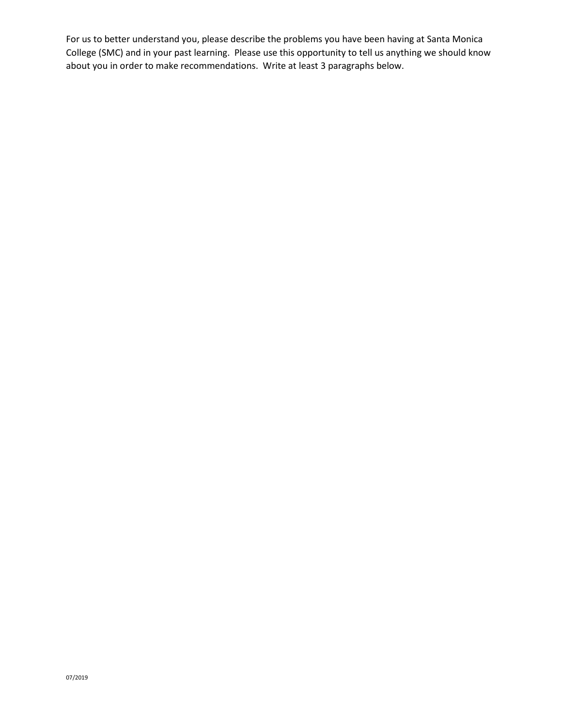For us to better understand you, please describe the problems you have been having at Santa Monica College (SMC) and in your past learning. Please use this opportunity to tell us anything we should know about you in order to make recommendations. Write at least 3 paragraphs below.